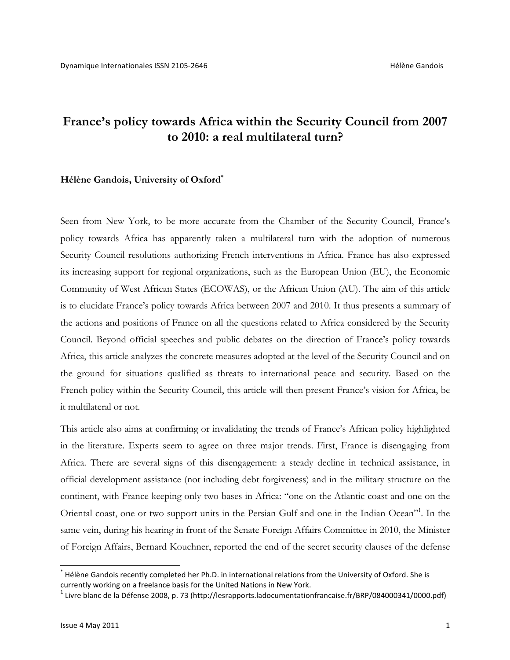## **France's policy towards Africa within the Security Council from 2007 to 2010: a real multilateral turn?**

### **Hélène Gandois, University of Oxford\***

Seen from New York, to be more accurate from the Chamber of the Security Council, France's policy towards Africa has apparently taken a multilateral turn with the adoption of numerous Security Council resolutions authorizing French interventions in Africa. France has also expressed its increasing support for regional organizations, such as the European Union (EU), the Economic Community of West African States (ECOWAS), or the African Union (AU). The aim of this article is to elucidate France's policy towards Africa between 2007 and 2010. It thus presents a summary of the actions and positions of France on all the questions related to Africa considered by the Security Council. Beyond official speeches and public debates on the direction of France's policy towards Africa, this article analyzes the concrete measures adopted at the level of the Security Council and on the ground for situations qualified as threats to international peace and security. Based on the French policy within the Security Council, this article will then present France's vision for Africa, be it multilateral or not.

This article also aims at confirming or invalidating the trends of France's African policy highlighted in the literature. Experts seem to agree on three major trends. First, France is disengaging from Africa. There are several signs of this disengagement: a steady decline in technical assistance, in official development assistance (not including debt forgiveness) and in the military structure on the continent, with France keeping only two bases in Africa: "one on the Atlantic coast and one on the Oriental coast, one or two support units in the Persian Gulf and one in the Indian Ocean"<sup>1</sup>. In the same vein, during his hearing in front of the Senate Foreign Affairs Committee in 2010, the Minister of Foreign Affairs, Bernard Kouchner, reported the end of the secret security clauses of the defense

The lène Gandois recently completed her Ph.D. in international relations from the University of Oxford. She is currently working on a freelance basis for the United Nations in New York.

 $1$  Livre blanc de la Défense 2008, p. 73 (http://lesrapports.ladocumentationfrancaise.fr/BRP/084000341/0000.pdf)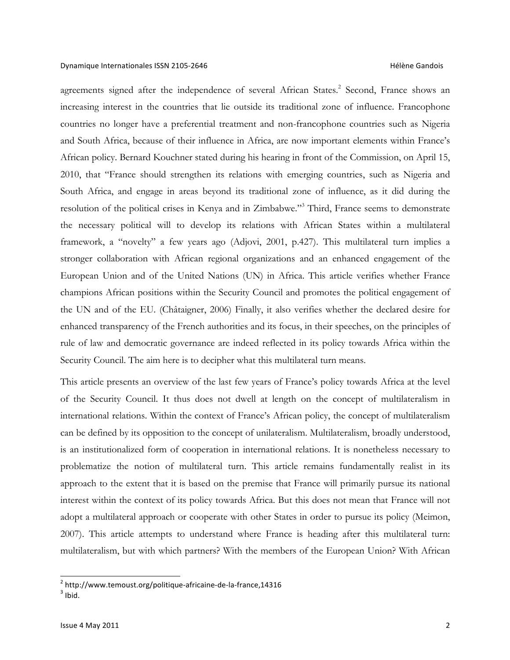agreements signed after the independence of several African States.<sup>2</sup> Second, France shows an increasing interest in the countries that lie outside its traditional zone of influence. Francophone countries no longer have a preferential treatment and non-francophone countries such as Nigeria and South Africa, because of their influence in Africa, are now important elements within France's African policy. Bernard Kouchner stated during his hearing in front of the Commission, on April 15, 2010, that "France should strengthen its relations with emerging countries, such as Nigeria and South Africa, and engage in areas beyond its traditional zone of influence, as it did during the resolution of the political crises in Kenya and in Zimbabwe."3 Third, France seems to demonstrate the necessary political will to develop its relations with African States within a multilateral framework, a "novelty" a few years ago (Adjovi, 2001, p.427). This multilateral turn implies a stronger collaboration with African regional organizations and an enhanced engagement of the European Union and of the United Nations (UN) in Africa. This article verifies whether France champions African positions within the Security Council and promotes the political engagement of the UN and of the EU. (Châtaigner, 2006) Finally, it also verifies whether the declared desire for enhanced transparency of the French authorities and its focus, in their speeches, on the principles of rule of law and democratic governance are indeed reflected in its policy towards Africa within the Security Council. The aim here is to decipher what this multilateral turn means.

This article presents an overview of the last few years of France's policy towards Africa at the level of the Security Council. It thus does not dwell at length on the concept of multilateralism in international relations. Within the context of France's African policy, the concept of multilateralism can be defined by its opposition to the concept of unilateralism. Multilateralism, broadly understood, is an institutionalized form of cooperation in international relations. It is nonetheless necessary to problematize the notion of multilateral turn. This article remains fundamentally realist in its approach to the extent that it is based on the premise that France will primarily pursue its national interest within the context of its policy towards Africa. But this does not mean that France will not adopt a multilateral approach or cooperate with other States in order to pursue its policy (Meimon, 2007). This article attempts to understand where France is heading after this multilateral turn: multilateralism, but with which partners? With the members of the European Union? With African

 $^2$  http://www.temoust.org/politique-africaine-de-la-france,14316  $^3$  Ihid.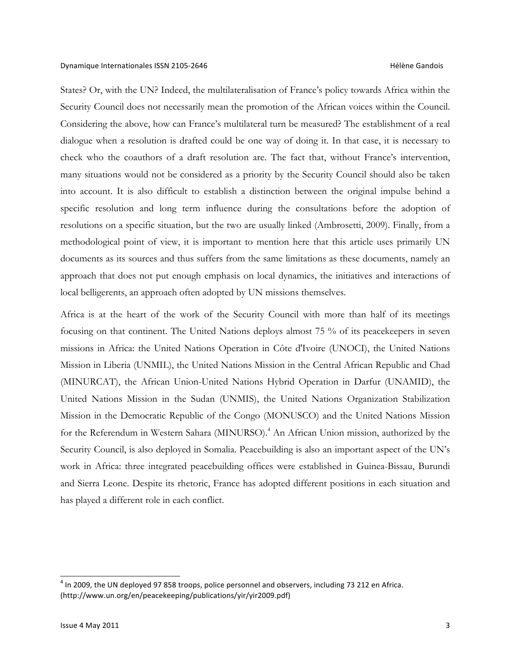States? Or, with the UN? Indeed, the multilateralisation of France's policy towards Africa within the Security Council does not necessarily mean the promotion of the African voices within the Council. Considering the above, how can France's multilateral turn be measured? The establishment of a real dialogue when a resolution is drafted could be one way of doing it. In that case, it is necessary to check who the coauthors of a draft resolution are. The fact that, without France's intervention, many situations would not be considered as a priority by the Security Council should also be taken into account. It is also difficult to establish a distinction between the original impulse behind a specific resolution and long term influence during the consultations before the adoption of resolutions on a specific situation, but the two are usually linked (Ambrosetti, 2009). Finally, from a methodological point of view, it is important to mention here that this article uses primarily UN documents as its sources and thus suffers from the same limitations as these documents, namely an approach that does not put enough emphasis on local dynamics, the initiatives and interactions of local belligerents, an approach often adopted by UN missions themselves.

Africa is at the heart of the work of the Security Council with more than half of its meetings focusing on that continent. The United Nations deploys almost 75 % of its peacekeepers in seven missions in Africa: the United Nations Operation in Côte d'Ivoire (UNOCI), the United Nations Mission in Liberia (UNMIL), the United Nations Mission in the Central African Republic and Chad (MINURCAT), the African Union-United Nations Hybrid Operation in Darfur (UNAMID), the United Nations Mission in the Sudan (UNMIS), the United Nations Organization Stabilization Mission in the Democratic Republic of the Congo (MONUSCO) and the United Nations Mission for the Referendum in Western Sahara (MINURSO).<sup>4</sup> An African Union mission, authorized by the Security Council, is also deployed in Somalia. Peacebuilding is also an important aspect of the UN's work in Africa: three integrated peacebuilding offices were established in Guinea-Bissau, Burundi and Sierra Leone. Despite its rhetoric, France has adopted different positions in each situation and has played a different role in each conflict.

 $<sup>4</sup>$  In 2009, the UN deployed 97 858 troops, police personnel and observers, including 73 212 en Africa.</sup> (http://www.un.org/en/peacekeeping/publications/yir/yir2009.pdf)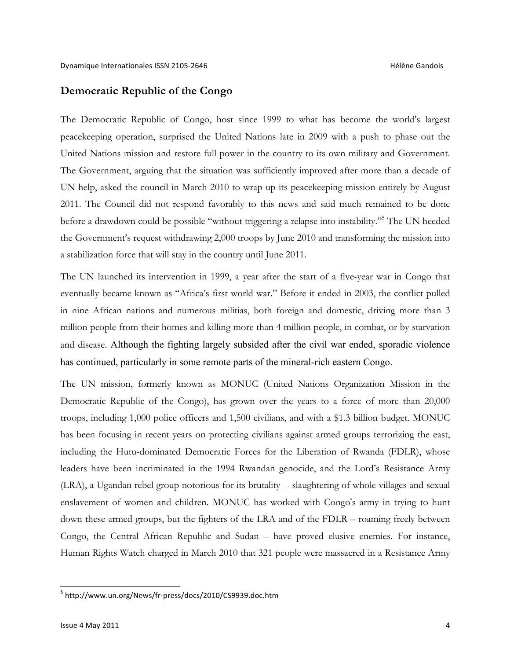### **Democratic Republic of the Congo**

The Democratic Republic of Congo, host since 1999 to what has become the world's largest peacekeeping operation, surprised the United Nations late in 2009 with a push to phase out the United Nations mission and restore full power in the country to its own military and Government. The Government, arguing that the situation was sufficiently improved after more than a decade of UN help, asked the council in March 2010 to wrap up its peace keeping mission entirely by August 2011. The Council did not respond favorably to this news and said much remained to be done before a drawdown could be possible "without triggering a relapse into instability."<sup>5</sup> The UN heeded the Government's request withdrawing 2,000 troops by June 2010 and transforming the mission into a stabilization force that will stay in the country until June 2011.

The UN launched its intervention in 1999, a year after the start of a five-year war in Congo that eventually became known as "Africa's first world war." Before it ended in 2003, the conflict pulled in nine African nations and numerous militias, both foreign and domestic, driving more than 3 million people from their homes and killing more than 4 million people, in combat, or by starvation and disease. Although the fighting largely subsided after the civil war ended, sporadic violence has continued, particularly in some remote parts of the mineral-rich eastern Congo.

The UN mission, formerly known as MONUC (United Nations Organization Mission in the Democratic Republic of the Congo), has grown over the years to a force of more than 20,000 troops, including 1,000 police officers and 1,500 civilians, and with a \$1.3 billion budget. MONUC has been focusing in recent years on protecting civilians against armed groups terrorizing the east, including the Hutu-dominated Democratic Forces for the Liberation of Rwanda (FDLR), whose leaders have been incriminated in the 1994 Rwandan genocide, and the Lord's Resistance Army (LRA), a Ugandan rebel group notorious for its brutality -- slaughtering of whole villages and sexual enslavement of women and children. MONUC has worked with Congo's army in trying to hunt down these armed groups, but the fighters of the LRA and of the FDLR – roaming freely between Congo, the Central African Republic and Sudan – have proved elusive enemies. For instance, Human Rights Watch charged in March 2010 that 321 people were massacred in a Resistance Army

<sup>5</sup> http://www.un.org/News/fr-press/docs/2010/CS9939.doc.htm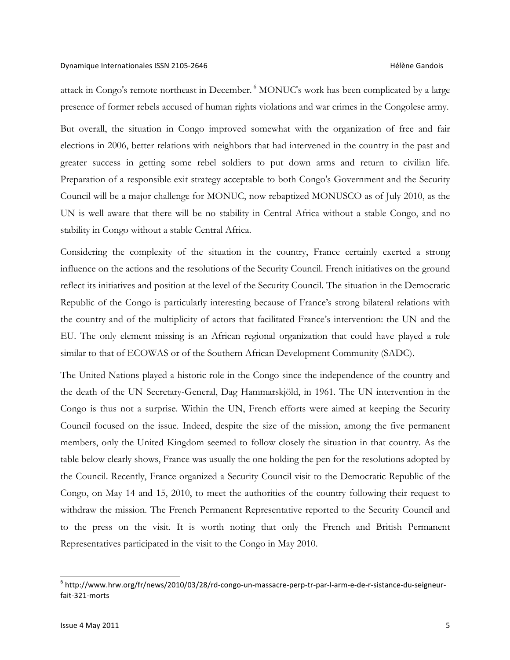### Dynamique Internationales ISSN 2105-2646 Hélène Gandois

attack in Congo's remote northeast in December. <sup>6</sup> MONUC's work has been complicated by a large presence of former rebels accused of human rights violations and war crimes in the Congolese army.

But overall, the situation in Congo improved somewhat with the organization of free and fair elections in 2006, better relations with neighbors that had intervened in the country in the past and greater success in getting some rebel soldiers to put down arms and return to civilian life. Preparation of a responsible exit strategy acceptable to both Congo's Government and the Security Council will be a major challenge for MONUC, now rebaptized MONUSCO as of July 2010, as the UN is well aware that there will be no stability in Central Africa without a stable Congo, and no stability in Congo without a stable Central Africa.

Considering the complexity of the situation in the country, France certainly exerted a strong influence on the actions and the resolutions of the Security Council. French initiatives on the ground reflect its initiatives and position at the level of the Security Council. The situation in the Democratic Republic of the Congo is particularly interesting because of France's strong bilateral relations with the country and of the multiplicity of actors that facilitated France's intervention: the UN and the EU. The only element missing is an African regional organization that could have played a role similar to that of ECOWAS or of the Southern African Development Community (SADC).

The United Nations played a historic role in the Congo since the independence of the country and the death of the UN Secretary-General, Dag Hammarskjöld, in 1961. The UN intervention in the Congo is thus not a surprise. Within the UN, French efforts were aimed at keeping the Security Council focused on the issue. Indeed, despite the size of the mission, among the five permanent members, only the United Kingdom seemed to follow closely the situation in that country. As the table below clearly shows, France was usually the one holding the pen for the resolutions adopted by the Council. Recently, France organized a Security Council visit to the Democratic Republic of the Congo, on May 14 and 15, 2010, to meet the authorities of the country following their request to withdraw the mission. The French Permanent Representative reported to the Security Council and to the press on the visit. It is worth noting that only the French and British Permanent Representatives participated in the visit to the Congo in May 2010.

<sup>6</sup> http://www.hrw.org/fr/news/2010/03/28/rd-congo-un-massacre-perp-tr-par-l-arm-e-de-r-sistance-du-seigneurfait-321-morts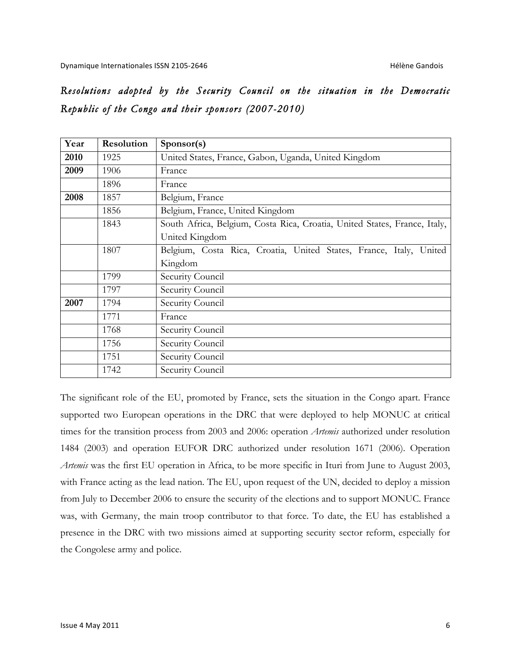# *Resolutions adopted by the Security Council on the situation in the Democratic Republic of the Congo and their sponsors (2007-2010)*

| Year | Resolution | Sponsor(s)                                                                |
|------|------------|---------------------------------------------------------------------------|
| 2010 | 1925       | United States, France, Gabon, Uganda, United Kingdom                      |
| 2009 | 1906       | France                                                                    |
|      | 1896       | France                                                                    |
| 2008 | 1857       | Belgium, France                                                           |
|      | 1856       | Belgium, France, United Kingdom                                           |
|      | 1843       | South Africa, Belgium, Costa Rica, Croatia, United States, France, Italy, |
|      |            | United Kingdom                                                            |
|      | 1807       | Belgium, Costa Rica, Croatia, United States, France, Italy,<br>United     |
|      |            | Kingdom                                                                   |
|      | 1799       | Security Council                                                          |
|      | 1797       | Security Council                                                          |
| 2007 | 1794       | Security Council                                                          |
|      | 1771       | France                                                                    |
|      | 1768       | Security Council                                                          |
|      | 1756       | Security Council                                                          |
|      | 1751       | Security Council                                                          |
|      | 1742       | Security Council                                                          |

The significant role of the EU, promoted by France, sets the situation in the Congo apart. France supported two European operations in the DRC that were deployed to help MONUC at critical times for the transition process from 2003 and 2006: operation *Artemis* authorized under resolution 1484 (2003) and operation EUFOR DRC authorized under resolution 1671 (2006). Operation *Artemis* was the first EU operation in Africa, to be more specific in Ituri from June to August 2003, with France acting as the lead nation. The EU, upon request of the UN, decided to deploy a mission from July to December 2006 to ensure the security of the elections and to support MONUC. France was, with Germany, the main troop contributor to that force. To date, the EU has established a presence in the DRC with two missions aimed at supporting security sector reform, especially for the Congolese army and police.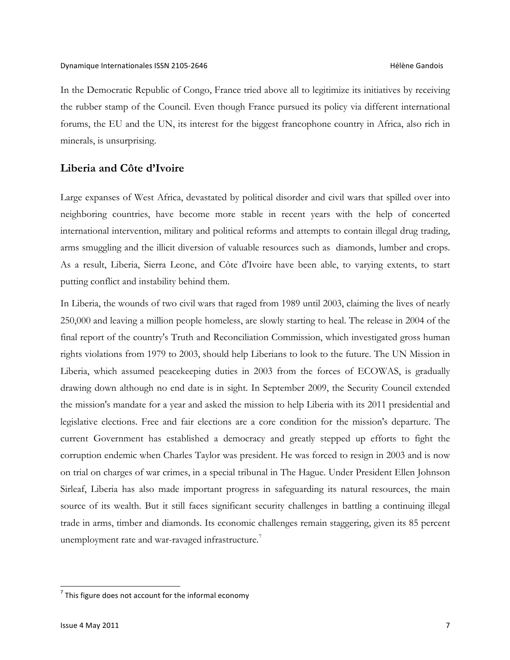In the Democratic Republic of Congo, France tried above all to legitimize its initiatives by receiving the rubber stamp of the Council. Even though France pursued its policy via different international forums, the EU and the UN, its interest for the biggest francophone country in Africa, also rich in minerals, is unsurprising.

### **Liberia and Côte d'Ivoire**

Large expanses of West Africa, devastated by political disorder and civil wars that spilled over into neighboring countries, have become more stable in recent years with the help of concerted international intervention, military and political reforms and attempts to contain illegal drug trading, arms smuggling and the illicit diversion of valuable resources such as diamonds, lumber and crops. As a result, Liberia, Sierra Leone, and Côte d'Ivoire have been able, to varying extents, to start putting conflict and instability behind them.

In Liberia, the wounds of two civil wars that raged from 1989 until 2003, claiming the lives of nearly 250,000 and leaving a million people homeless, are slowly starting to heal. The release in 2004 of the final report of the country's Truth and Reconciliation Commission, which investigated gross human rights violations from 1979 to 2003, should help Liberians to look to the future. The UN Mission in Liberia, which assumed peacekeeping duties in 2003 from the forces of ECOWAS, is gradually drawing down although no end date is in sight. In September 2009, the Security Council extended the mission's mandate for a year and asked the mission to help Liberia with its 2011 presidential and legislative elections. Free and fair elections are a core condition for the mission's departure. The current Government has established a democracy and greatly stepped up efforts to fight the corruption endemic when Charles Taylor was president. He was forced to resign in 2003 and is now on trial on charges of war crimes, in a special tribunal in The Hague. Under President Ellen Johnson Sirleaf, Liberia has also made important progress in safeguarding its natural resources, the main source of its wealth. But it still faces significant security challenges in battling a continuing illegal trade in arms, timber and diamonds. Its economic challenges remain staggering, given its 85 percent unemployment rate and war-ravaged infrastructure.<sup>7</sup>

 $<sup>7</sup>$  This figure does not account for the informal economy</sup>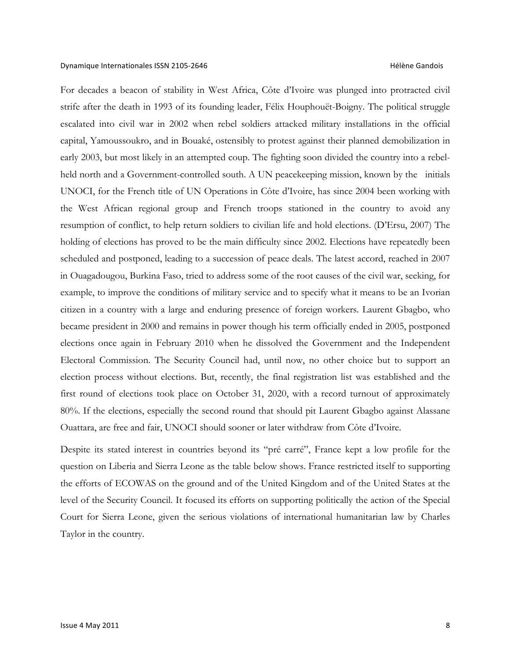For decades a beacon of stability in West Africa, Côte d'Ivoire was plunged into protracted civil strife after the death in 1993 of its founding leader, Félix Houphouët-Boigny. The political struggle escalated into civil war in 2002 when rebel soldiers attacked military installations in the official capital, Yamoussoukro, and in Bouaké, ostensibly to protest against their planned demobilization in early 2003, but most likely in an attempted coup. The fighting soon divided the country into a rebelheld north and a Government-controlled south. A UN peacekeeping mission, known by the initials UNOCI, for the French title of UN Operations in Côte d'Ivoire, has since 2004 been working with the West African regional group and French troops stationed in the country to avoid any resumption of conflict, to help return soldiers to civilian life and hold elections. (D'Ersu, 2007) The holding of elections has proved to be the main difficulty since 2002. Elections have repeatedly been scheduled and postponed, leading to a succession of peace deals. The latest accord, reached in 2007 in Ouagadougou, Burkina Faso, tried to address some of the root causes of the civil war, seeking, for example, to improve the conditions of military service and to specify what it means to be an Ivorian citizen in a country with a large and enduring presence of foreign workers. Laurent Gbagbo, who became president in 2000 and remains in power though his term officially ended in 2005, postponed elections once again in February 2010 when he dissolved the Government and the Independent Electoral Commission. The Security Council had, until now, no other choice but to support an election process without elections. But, recently, the final registration list was established and the first round of elections took place on October 31, 2020, with a record turnout of approximately 80%. If the elections, especially the second round that should pit Laurent Gbagbo against Alassane Ouattara, are free and fair, UNOCI should sooner or later withdraw from Côte d'Ivoire.

Despite its stated interest in countries beyond its "pré carré", France kept a low profile for the question on Liberia and Sierra Leone as the table below shows. France restricted itself to supporting the efforts of ECOWAS on the ground and of the United Kingdom and of the United States at the level of the Security Council. It focused its efforts on supporting politically the action of the Special Court for Sierra Leone, given the serious violations of international humanitarian law by Charles Taylor in the country.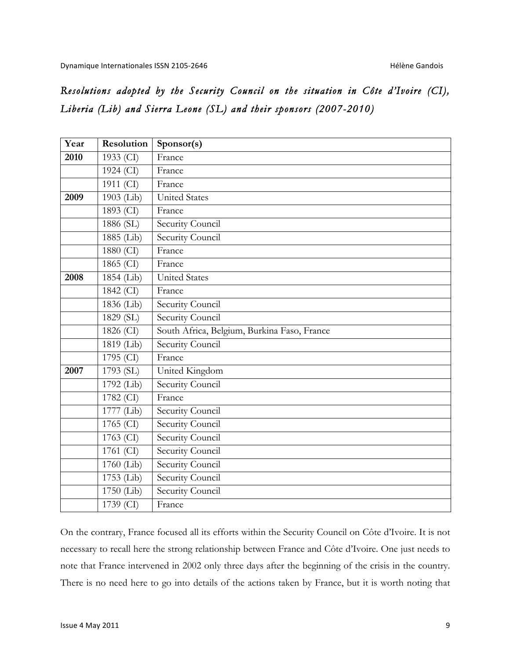# *Resolutions adopted by the Security Council on the situation in Côte d'Ivoire (CI), Liberia (Lib) and Sierra Leone (SL) and their sponsors (2007-2010)*

| Year | Resolution   | Sponsor(s)                                  |
|------|--------------|---------------------------------------------|
| 2010 | 1933 (CI)    | France                                      |
|      | 1924 (CI)    | France                                      |
|      | 1911 (CI)    | France                                      |
| 2009 | 1903 (Lib)   | <b>United States</b>                        |
|      | 1893 (CI)    | France                                      |
|      | 1886 (SL)    | Security Council                            |
|      | 1885 (Lib)   | <b>Security Council</b>                     |
|      | 1880 (CI)    | France                                      |
|      | 1865 (CI)    | France                                      |
| 2008 | 1854 (Lib)   | United States                               |
|      | 1842 (CI)    | France                                      |
|      | 1836 (Lib)   | Security Council                            |
|      | 1829 (SL)    | Security Council                            |
|      | 1826 (CI)    | South Africa, Belgium, Burkina Faso, France |
|      | 1819 (Lib)   | Security Council                            |
|      | 1795 (CI)    | France                                      |
| 2007 | 1793 (SL)    | United Kingdom                              |
|      | 1792 (Lib)   | Security Council                            |
|      | 1782 (CI)    | France                                      |
|      | 1777 (Lib)   | <b>Security Council</b>                     |
|      | 1765 (CI)    | Security Council                            |
|      | 1763 (CI)    | Security Council                            |
|      | $1761$ (CI)  | Security Council                            |
|      | $1760$ (Lib) | <b>Security Council</b>                     |
|      | 1753 (Lib)   | Security Council                            |
|      | $1750$ (Lib) | Security Council                            |
|      | 1739 (CI)    | France                                      |

On the contrary, France focused all its efforts within the Security Council on Côte d'Ivoire. It is not necessary to recall here the strong relationship between France and Côte d'Ivoire. One just needs to note that France intervened in 2002 only three days after the beginning of the crisis in the country. There is no need here to go into details of the actions taken by France, but it is worth noting that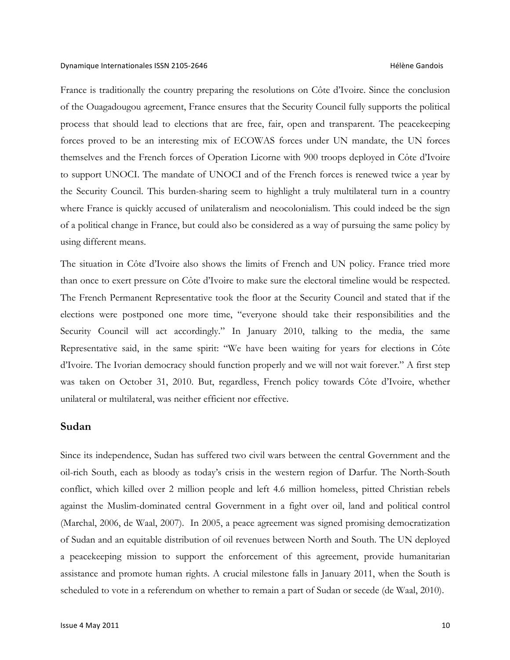France is traditionally the country preparing the resolutions on Côte d'Ivoire. Since the conclusion of the Ouagadougou agreement, France ensures that the Security Council fully supports the political process that should lead to elections that are free, fair, open and transparent. The peacekeeping forces proved to be an interesting mix of ECOWAS forces under UN mandate, the UN forces themselves and the French forces of Operation Licorne with 900 troops deployed in Côte d'Ivoire to support UNOCI. The mandate of UNOCI and of the French forces is renewed twice a year by the Security Council. This burden-sharing seem to highlight a truly multilateral turn in a country where France is quickly accused of unilateralism and neocolonialism. This could indeed be the sign of a political change in France, but could also be considered as a way of pursuing the same policy by using different means.

The situation in Côte d'Ivoire also shows the limits of French and UN policy. France tried more than once to exert pressure on Côte d'Ivoire to make sure the electoral timeline would be respected. The French Permanent Representative took the floor at the Security Council and stated that if the elections were postponed one more time, "everyone should take their responsibilities and the Security Council will act accordingly." In January 2010, talking to the media, the same Representative said, in the same spirit: "We have been waiting for years for elections in Côte d'Ivoire. The Ivorian democracy should function properly and we will not wait forever." A first step was taken on October 31, 2010. But, regardless, French policy towards Côte d'Ivoire, whether unilateral or multilateral, was neither efficient nor effective.

### **Sudan**

Since its independence, Sudan has suffered two civil wars between the central Government and the oil-rich South, each as bloody as today's crisis in the western region of Darfur. The North-South conflict, which killed over 2 million people and left 4.6 million homeless, pitted Christian rebels against the Muslim-dominated central Government in a fight over oil, land and political control (Marchal, 2006, de Waal, 2007). In 2005, a peace agreement was signed promising democratization of Sudan and an equitable distribution of oil revenues between North and South. The UN deployed a peacekeeping mission to support the enforcement of this agreement, provide humanitarian assistance and promote human rights. A crucial milestone falls in January 2011, when the South is scheduled to vote in a referendum on whether to remain a part of Sudan or secede (de Waal, 2010).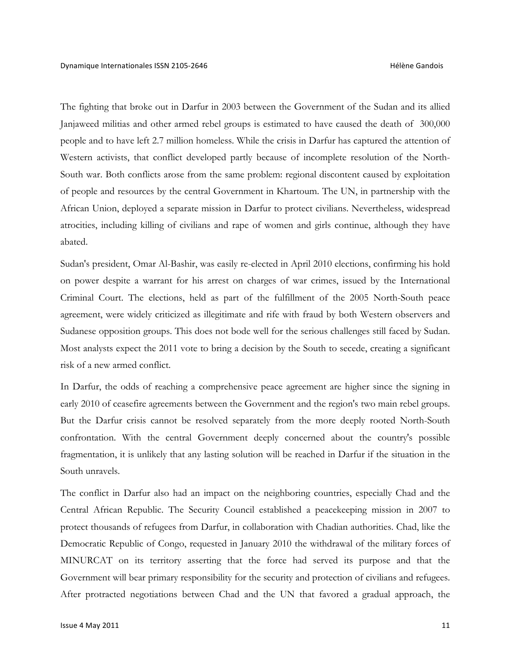The fighting that broke out in Darfur in 2003 between the Government of the Sudan and its allied Janjaweed militias and other armed rebel groups is estimated to have caused the death of 300,000 people and to have left 2.7 million homeless. While the crisis in Darfur has captured the attention of Western activists, that conflict developed partly because of incomplete resolution of the North-South war. Both conflicts arose from the same problem: regional discontent caused by exploitation of people and resources by the central Government in Khartoum. The UN, in partnership with the African Union, deployed a separate mission in Darfur to protect civilians. Nevertheless, widespread atrocities, including killing of civilians and rape of women and girls continue, although they have abated.

Sudan's president, Omar Al-Bashir, was easily re-elected in April 2010 elections, confirming his hold on power despite a warrant for his arrest on charges of war crimes, issued by the International Criminal Court. The elections, held as part of the fulfillment of the 2005 North-South peace agreement, were widely criticized as illegitimate and rife with fraud by both Western observers and Sudanese opposition groups. This does not bode well for the serious challenges still faced by Sudan. Most analysts expect the 2011 vote to bring a decision by the South to secede, creating a significant risk of a new armed conflict.

In Darfur, the odds of reaching a comprehensive peace agreement are higher since the signing in early 2010 of ceasefire agreements between the Government and the region's two main rebel groups. But the Darfur crisis cannot be resolved separately from the more deeply rooted North-South confrontation. With the central Government deeply concerned about the country's possible fragmentation, it is unlikely that any lasting solution will be reached in Darfur if the situation in the South unravels.

The conflict in Darfur also had an impact on the neighboring countries, especially Chad and the Central African Republic. The Security Council established a peacekeeping mission in 2007 to protect thousands of refugees from Darfur, in collaboration with Chadian authorities. Chad, like the Democratic Republic of Congo, requested in January 2010 the withdrawal of the military forces of MINURCAT on its territory asserting that the force had served its purpose and that the Government will bear primary responsibility for the security and protection of civilians and refugees. After protracted negotiations between Chad and the UN that favored a gradual approach, the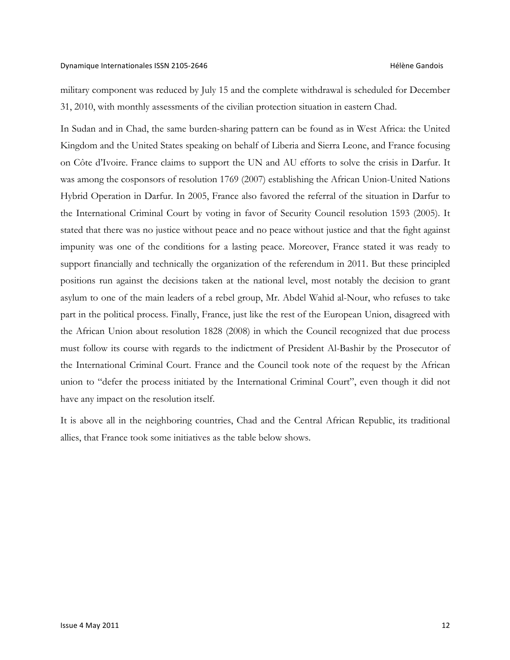### Dynamique Internationales ISSN 2105-2646 Hélène Gandois

military component was reduced by July 15 and the complete withdrawal is scheduled for December 31, 2010, with monthly assessments of the civilian protection situation in eastern Chad.

In Sudan and in Chad, the same burden-sharing pattern can be found as in West Africa: the United Kingdom and the United States speaking on behalf of Liberia and Sierra Leone, and France focusing on Côte d'Ivoire. France claims to support the UN and AU efforts to solve the crisis in Darfur. It was among the cosponsors of resolution 1769 (2007) establishing the African Union-United Nations Hybrid Operation in Darfur. In 2005, France also favored the referral of the situation in Darfur to the International Criminal Court by voting in favor of Security Council resolution 1593 (2005). It stated that there was no justice without peace and no peace without justice and that the fight against impunity was one of the conditions for a lasting peace. Moreover, France stated it was ready to support financially and technically the organization of the referendum in 2011. But these principled positions run against the decisions taken at the national level, most notably the decision to grant asylum to one of the main leaders of a rebel group, Mr. Abdel Wahid al-Nour, who refuses to take part in the political process. Finally, France, just like the rest of the European Union, disagreed with the African Union about resolution 1828 (2008) in which the Council recognized that due process must follow its course with regards to the indictment of President Al-Bashir by the Prosecutor of the International Criminal Court. France and the Council took note of the request by the African union to "defer the process initiated by the International Criminal Court", even though it did not have any impact on the resolution itself.

It is above all in the neighboring countries, Chad and the Central African Republic, its traditional allies, that France took some initiatives as the table below shows.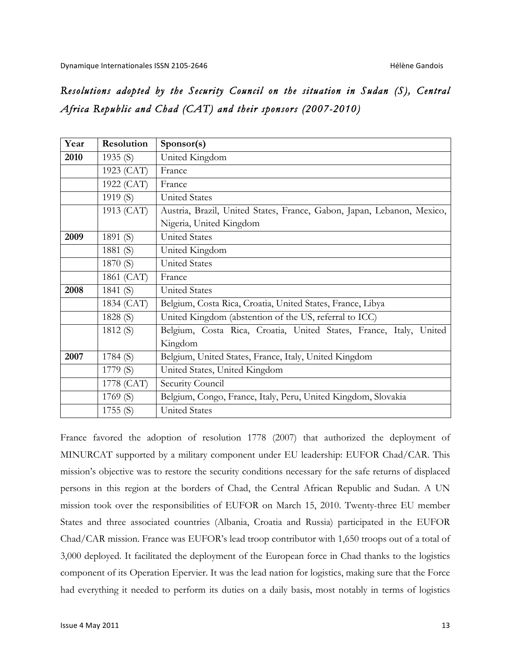# *Resolutions adopted by the Security Council on the situation in Sudan (S), Central Africa Republic and Chad (CAT) and their sponsors (2007-2010)*

| Year | Resolution | Sponsor(s)                                                             |
|------|------------|------------------------------------------------------------------------|
| 2010 | 1935 $(S)$ | United Kingdom                                                         |
|      | 1923 (CAT) | France                                                                 |
|      | 1922 (CAT) | France                                                                 |
|      | 1919 (S)   | <b>United States</b>                                                   |
|      | 1913 (CAT) | Austria, Brazil, United States, France, Gabon, Japan, Lebanon, Mexico, |
|      |            | Nigeria, United Kingdom                                                |
| 2009 | 1891 (S)   | <b>United States</b>                                                   |
|      | 1881 (S)   | United Kingdom                                                         |
|      | 1870 (S)   | <b>United States</b>                                                   |
|      | 1861 (CAT) | France                                                                 |
| 2008 | 1841 (S)   | <b>United States</b>                                                   |
|      | 1834 (CAT) | Belgium, Costa Rica, Croatia, United States, France, Libya             |
|      | 1828 (S)   | United Kingdom (abstention of the US, referral to ICC)                 |
|      | 1812 (S)   | Belgium, Costa Rica, Croatia, United States, France, Italy, United     |
|      |            | Kingdom                                                                |
| 2007 | 1784(S)    | Belgium, United States, France, Italy, United Kingdom                  |
|      | 1779 (S)   | United States, United Kingdom                                          |
|      | 1778 (CAT) | Security Council                                                       |
|      | 1769 (S)   | Belgium, Congo, France, Italy, Peru, United Kingdom, Slovakia          |
|      | 1755(S)    | <b>United States</b>                                                   |

France favored the adoption of resolution 1778 (2007) that authorized the deployment of MINURCAT supported by a military component under EU leadership: EUFOR Chad/CAR. This mission's objective was to restore the security conditions necessary for the safe returns of displaced persons in this region at the borders of Chad, the Central African Republic and Sudan. A UN mission took over the responsibilities of EUFOR on March 15, 2010. Twenty-three EU member States and three associated countries (Albania, Croatia and Russia) participated in the EUFOR Chad/CAR mission. France was EUFOR's lead troop contributor with 1,650 troops out of a total of 3,000 deployed. It facilitated the deployment of the European force in Chad thanks to the logistics component of its Operation Epervier. It was the lead nation for logistics, making sure that the Force had everything it needed to perform its duties on a daily basis, most notably in terms of logistics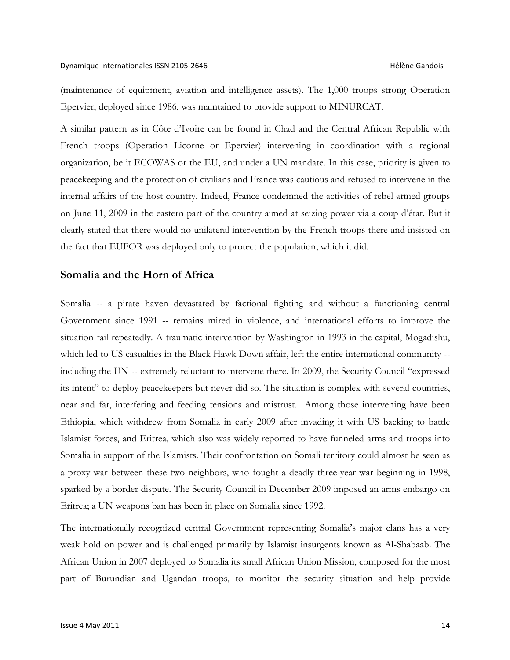(maintenance of equipment, aviation and intelligence assets). The 1,000 troops strong Operation Epervier, deployed since 1986, was maintained to provide support to MINURCAT.

A similar pattern as in Côte d'Ivoire can be found in Chad and the Central African Republic with French troops (Operation Licorne or Epervier) intervening in coordination with a regional organization, be it ECOWAS or the EU, and under a UN mandate. In this case, priority is given to peacekeeping and the protection of civilians and France was cautious and refused to intervene in the internal affairs of the host country. Indeed, France condemned the activities of rebel armed groups on June 11, 2009 in the eastern part of the country aimed at seizing power via a coup d'état. But it clearly stated that there would no unilateral intervention by the French troops there and insisted on the fact that EUFOR was deployed only to protect the population, which it did.

## **Somalia and the Horn of Africa**

Somalia -- a pirate haven devastated by factional fighting and without a functioning central Government since 1991 -- remains mired in violence, and international efforts to improve the situation fail repeatedly. A traumatic intervention by Washington in 1993 in the capital, Mogadishu, which led to US casualties in the Black Hawk Down affair, left the entire international community -including the UN -- extremely reluctant to intervene there. In 2009, the Security Council "expressed its intent" to deploy peacekeepers but never did so. The situation is complex with several countries, near and far, interfering and feeding tensions and mistrust. Among those intervening have been Ethiopia, which withdrew from Somalia in early 2009 after invading it with US backing to battle Islamist forces, and Eritrea, which also was widely reported to have funneled arms and troops into Somalia in support of the Islamists. Their confrontation on Somali territory could almost be seen as a proxy war between these two neighbors, who fought a deadly three-year war beginning in 1998, sparked by a border dispute. The Security Council in December 2009 imposed an arms embargo on Eritrea; a UN weapons ban has been in place on Somalia since 1992.

The internationally recognized central Government representing Somalia's major clans has a very weak hold on power and is challenged primarily by Islamist insurgents known as Al-Shabaab. The African Union in 2007 deployed to Somalia its small African Union Mission, composed for the most part of Burundian and Ugandan troops, to monitor the security situation and help provide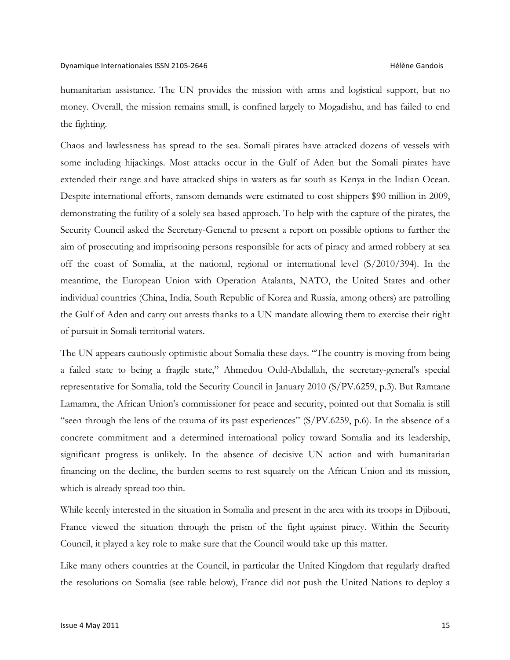humanitarian assistance. The UN provides the mission with arms and logistical support, but no money. Overall, the mission remains small, is confined largely to Mogadishu, and has failed to end the fighting.

Chaos and lawlessness has spread to the sea. Somali pirates have attacked dozens of vessels with some including hijackings. Most attacks occur in the Gulf of Aden but the Somali pirates have extended their range and have attacked ships in waters as far south as Kenya in the Indian Ocean. Despite international efforts, ransom demands were estimated to cost shippers \$90 million in 2009, demonstrating the futility of a solely sea-based approach. To help with the capture of the pirates, the Security Council asked the Secretary-General to present a report on possible options to further the aim of prosecuting and imprisoning persons responsible for acts of piracy and armed robbery at sea off the coast of Somalia, at the national, regional or international level (S/2010/394). In the meantime, the European Union with Operation Atalanta, NATO, the United States and other individual countries (China, India, South Republic of Korea and Russia, among others) are patrolling the Gulf of Aden and carry out arrests thanks to a UN mandate allowing them to exercise their right of pursuit in Somali territorial waters.

The UN appears cautiously optimistic about Somalia these days. "The country is moving from being a failed state to being a fragile state," Ahmedou Ould-Abdallah, the secretary-general's special representative for Somalia, told the Security Council in January 2010 (S/PV.6259, p.3). But Ramtane Lamamra, the African Union's commissioner for peace and security, pointed out that Somalia is still "seen through the lens of the trauma of its past experiences" (S/PV.6259, p.6). In the absence of a concrete commitment and a determined international policy toward Somalia and its leadership, significant progress is unlikely. In the absence of decisive UN action and with humanitarian financing on the decline, the burden seems to rest squarely on the African Union and its mission, which is already spread too thin.

While keenly interested in the situation in Somalia and present in the area with its troops in Djibouti, France viewed the situation through the prism of the fight against piracy. Within the Security Council, it played a key role to make sure that the Council would take up this matter.

Like many others countries at the Council, in particular the United Kingdom that regularly drafted the resolutions on Somalia (see table below), France did not push the United Nations to deploy a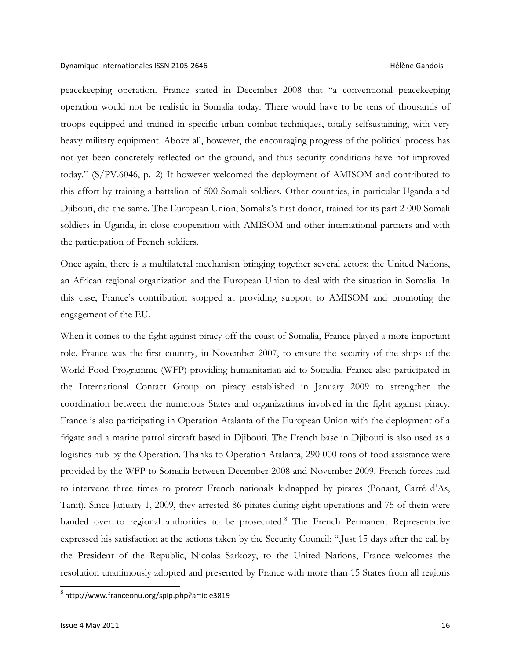peacekeeping operation. France stated in December 2008 that "a conventional peacekeeping operation would not be realistic in Somalia today. There would have to be tens of thousands of troops equipped and trained in specific urban combat techniques, totally selfsustaining, with very heavy military equipment. Above all, however, the encouraging progress of the political process has not yet been concretely reflected on the ground, and thus security conditions have not improved today." (S/PV.6046, p.12) It however welcomed the deployment of AMISOM and contributed to this effort by training a battalion of 500 Somali soldiers. Other countries, in particular Uganda and Djibouti, did the same. The European Union, Somalia's first donor, trained for its part 2 000 Somali soldiers in Uganda, in close cooperation with AMISOM and other international partners and with the participation of French soldiers.

Once again, there is a multilateral mechanism bringing together several actors: the United Nations, an African regional organization and the European Union to deal with the situation in Somalia. In this case, France's contribution stopped at providing support to AMISOM and promoting the engagement of the EU.

When it comes to the fight against piracy off the coast of Somalia, France played a more important role. France was the first country, in November 2007, to ensure the security of the ships of the World Food Programme (WFP) providing humanitarian aid to Somalia. France also participated in the International Contact Group on piracy established in January 2009 to strengthen the coordination between the numerous States and organizations involved in the fight against piracy. France is also participating in Operation Atalanta of the European Union with the deployment of a frigate and a marine patrol aircraft based in Djibouti. The French base in Djibouti is also used as a logistics hub by the Operation. Thanks to Operation Atalanta, 290 000 tons of food assistance were provided by the WFP to Somalia between December 2008 and November 2009. French forces had to intervene three times to protect French nationals kidnapped by pirates (Ponant, Carré d'As, Tanit). Since January 1, 2009, they arrested 86 pirates during eight operations and 75 of them were handed over to regional authorities to be prosecuted.<sup>8</sup> The French Permanent Representative expressed his satisfaction at the actions taken by the Security Council: ",Just 15 days after the call by the President of the Republic, Nicolas Sarkozy, to the United Nations, France welcomes the resolution unanimously adopted and presented by France with more than 15 States from all regions

<sup>8</sup> http://www.franceonu.org/spip.php?article3819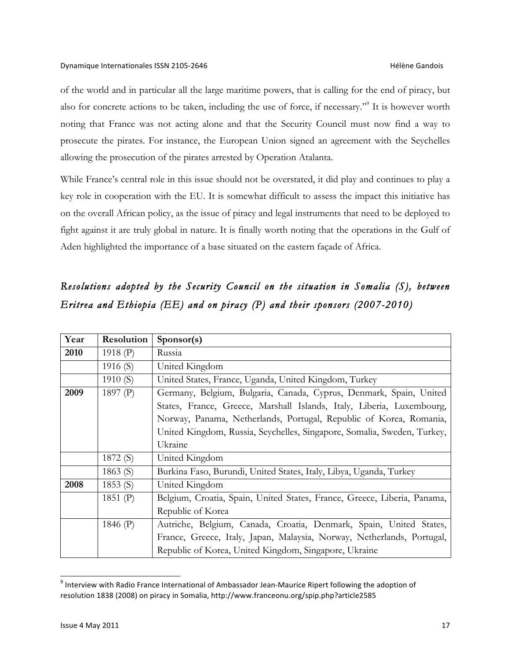of the world and in particular all the large maritime powers, that is calling for the end of piracy, but also for concrete actions to be taken, including the use of force, if necessary."9 It is however worth noting that France was not acting alone and that the Security Council must now find a way to prosecute the pirates. For instance, the European Union signed an agreement with the Seychelles allowing the prosecution of the pirates arrested by Operation Atalanta.

While France's central role in this issue should not be overstated, it did play and continues to play a key role in cooperation with the EU. It is somewhat difficult to assess the impact this initiative has on the overall African policy, as the issue of piracy and legal instruments that need to be deployed to fight against it are truly global in nature. It is finally worth noting that the operations in the Gulf of Aden highlighted the importance of a base situated on the eastern façade of Africa.

# *Resolutions adopted by the Security Council on the situation in Somalia (S), between Eritrea and Ethiopia (EE) and on piracy (P) and their sponsors (2007-2010)*

| Year | Resolution | Sponsor(s)                                                               |
|------|------------|--------------------------------------------------------------------------|
| 2010 | 1918 (P)   | Russia                                                                   |
|      | 1916 $(S)$ | United Kingdom                                                           |
|      | 1910 $(S)$ | United States, France, Uganda, United Kingdom, Turkey                    |
| 2009 | 1897 (P)   | Germany, Belgium, Bulgaria, Canada, Cyprus, Denmark, Spain, United       |
|      |            | States, France, Greece, Marshall Islands, Italy, Liberia, Luxembourg,    |
|      |            | Norway, Panama, Netherlands, Portugal, Republic of Korea, Romania,       |
|      |            | United Kingdom, Russia, Seychelles, Singapore, Somalia, Sweden, Turkey,  |
|      |            | Ukraine                                                                  |
|      | 1872 (S)   | United Kingdom                                                           |
|      | 1863 $(S)$ | Burkina Faso, Burundi, United States, Italy, Libya, Uganda, Turkey       |
| 2008 | 1853 (S)   | United Kingdom                                                           |
|      | 1851 (P)   | Belgium, Croatia, Spain, United States, France, Greece, Liberia, Panama, |
|      |            | Republic of Korea                                                        |
|      | 1846 (P)   | Autriche, Belgium, Canada, Croatia, Denmark, Spain, United States,       |
|      |            | France, Greece, Italy, Japan, Malaysia, Norway, Netherlands, Portugal,   |
|      |            | Republic of Korea, United Kingdom, Singapore, Ukraine                    |

<sup>&</sup>lt;sup>9</sup> Interview with Radio France International of Ambassador Jean-Maurice Ripert following the adoption of resolution 1838 (2008) on piracy in Somalia, http://www.franceonu.org/spip.php?article2585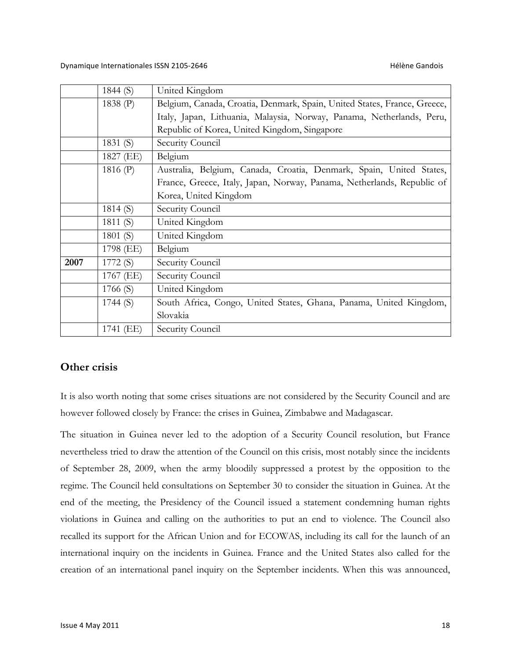|      | 1844 $(S)$ | United Kingdom                                                           |
|------|------------|--------------------------------------------------------------------------|
|      | 1838 $(P)$ | Belgium, Canada, Croatia, Denmark, Spain, United States, France, Greece, |
|      |            | Italy, Japan, Lithuania, Malaysia, Norway, Panama, Netherlands, Peru,    |
|      |            | Republic of Korea, United Kingdom, Singapore                             |
|      | 1831 $(S)$ | Security Council                                                         |
|      | 1827 (EE)  | Belgium                                                                  |
|      | 1816 $(P)$ | Australia, Belgium, Canada, Croatia, Denmark, Spain, United States,      |
|      |            | France, Greece, Italy, Japan, Norway, Panama, Netherlands, Republic of   |
|      |            | Korea, United Kingdom                                                    |
|      | 1814(S)    | Security Council                                                         |
|      | 1811 $(S)$ | United Kingdom                                                           |
|      | 1801 (S)   | United Kingdom                                                           |
|      | 1798 (EE)  | Belgium                                                                  |
| 2007 | 1772 (S)   | Security Council                                                         |
|      | 1767 (EE)  | Security Council                                                         |
|      | 1766(S)    | United Kingdom                                                           |
|      | 1744(S)    | South Africa, Congo, United States, Ghana, Panama, United Kingdom,       |
|      |            | Slovakia                                                                 |
|      | 1741 (EE)  | Security Council                                                         |

## **Other crisis**

It is also worth noting that some crises situations are not considered by the Security Council and are however followed closely by France: the crises in Guinea, Zimbabwe and Madagascar.

The situation in Guinea never led to the adoption of a Security Council resolution, but France nevertheless tried to draw the attention of the Council on this crisis, most notably since the incidents of September 28, 2009, when the army bloodily suppressed a protest by the opposition to the regime. The Council held consultations on September 30 to consider the situation in Guinea. At the end of the meeting, the Presidency of the Council issued a statement condemning human rights violations in Guinea and calling on the authorities to put an end to violence. The Council also recalled its support for the African Union and for ECOWAS, including its call for the launch of an international inquiry on the incidents in Guinea. France and the United States also called for the creation of an international panel inquiry on the September incidents. When this was announced,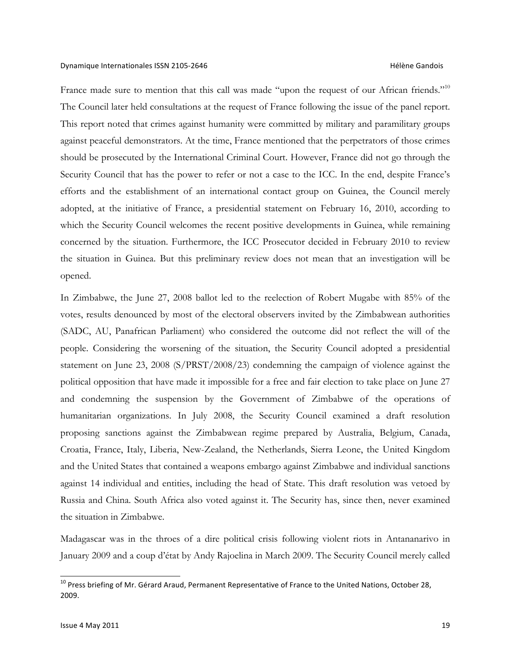France made sure to mention that this call was made "upon the request of our African friends."<sup>10</sup> The Council later held consultations at the request of France following the issue of the panel report. This report noted that crimes against humanity were committed by military and paramilitary groups against peaceful demonstrators. At the time, France mentioned that the perpetrators of those crimes should be prosecuted by the International Criminal Court. However, France did not go through the Security Council that has the power to refer or not a case to the ICC. In the end, despite France's efforts and the establishment of an international contact group on Guinea, the Council merely adopted, at the initiative of France, a presidential statement on February 16, 2010, according to which the Security Council welcomes the recent positive developments in Guinea, while remaining concerned by the situation. Furthermore, the ICC Prosecutor decided in February 2010 to review the situation in Guinea. But this preliminary review does not mean that an investigation will be opened.

In Zimbabwe, the June 27, 2008 ballot led to the reelection of Robert Mugabe with 85% of the votes, results denounced by most of the electoral observers invited by the Zimbabwean authorities (SADC, AU, Panafrican Parliament) who considered the outcome did not reflect the will of the people. Considering the worsening of the situation, the Security Council adopted a presidential statement on June 23, 2008 (S/PRST/2008/23) condemning the campaign of violence against the political opposition that have made it impossible for a free and fair election to take place on June 27 and condemning the suspension by the Government of Zimbabwe of the operations of humanitarian organizations. In July 2008, the Security Council examined a draft resolution proposing sanctions against the Zimbabwean regime prepared by Australia, Belgium, Canada, Croatia, France, Italy, Liberia, New-Zealand, the Netherlands, Sierra Leone, the United Kingdom and the United States that contained a weapons embargo against Zimbabwe and individual sanctions against 14 individual and entities, including the head of State. This draft resolution was vetoed by Russia and China. South Africa also voted against it. The Security has, since then, never examined the situation in Zimbabwe.

Madagascar was in the throes of a dire political crisis following violent riots in Antananarivo in January 2009 and a coup d'état by Andy Rajoelina in March 2009. The Security Council merely called

 $10$  Press briefing of Mr. Gérard Araud, Permanent Representative of France to the United Nations, October 28, 2009.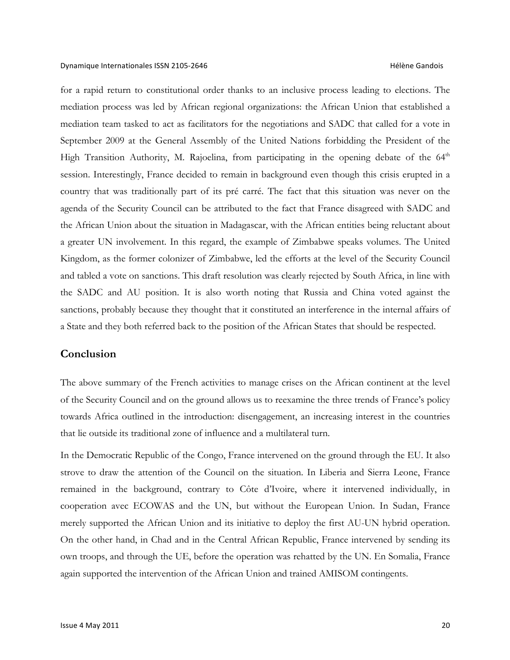for a rapid return to constitutional order thanks to an inclusive process leading to elections. The mediation process was led by African regional organizations: the African Union that established a mediation team tasked to act as facilitators for the negotiations and SADC that called for a vote in September 2009 at the General Assembly of the United Nations forbidding the President of the High Transition Authority, M. Rajoelina, from participating in the opening debate of the  $64<sup>th</sup>$ session. Interestingly, France decided to remain in background even though this crisis erupted in a country that was traditionally part of its pré carré. The fact that this situation was never on the agenda of the Security Council can be attributed to the fact that France disagreed with SADC and the African Union about the situation in Madagascar, with the African entities being reluctant about a greater UN involvement. In this regard, the example of Zimbabwe speaks volumes. The United Kingdom, as the former colonizer of Zimbabwe, led the efforts at the level of the Security Council and tabled a vote on sanctions. This draft resolution was clearly rejected by South Africa, in line with the SADC and AU position. It is also worth noting that Russia and China voted against the sanctions, probably because they thought that it constituted an interference in the internal affairs of a State and they both referred back to the position of the African States that should be respected.

### **Conclusion**

The above summary of the French activities to manage crises on the African continent at the level of the Security Council and on the ground allows us to reexamine the three trends of France's policy towards Africa outlined in the introduction: disengagement, an increasing interest in the countries that lie outside its traditional zone of influence and a multilateral turn.

In the Democratic Republic of the Congo, France intervened on the ground through the EU. It also strove to draw the attention of the Council on the situation. In Liberia and Sierra Leone, France remained in the background, contrary to Côte d'Ivoire, where it intervened individually, in cooperation avec ECOWAS and the UN, but without the European Union. In Sudan, France merely supported the African Union and its initiative to deploy the first AU-UN hybrid operation. On the other hand, in Chad and in the Central African Republic, France intervened by sending its own troops, and through the UE, before the operation was rehatted by the UN. En Somalia, France again supported the intervention of the African Union and trained AMISOM contingents.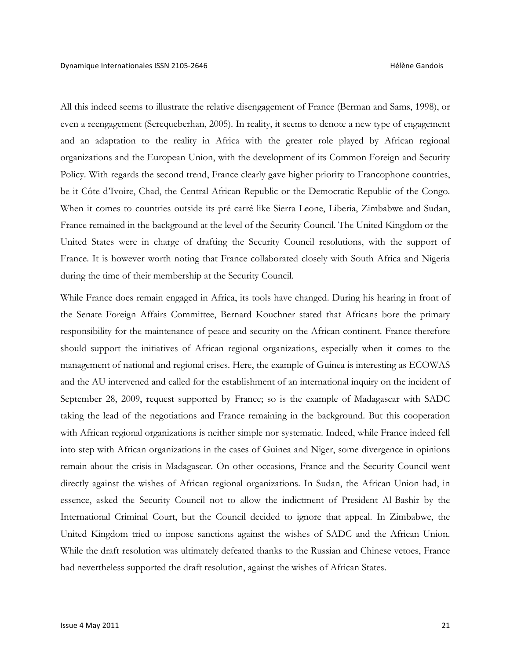All this indeed seems to illustrate the relative disengagement of France (Berman and Sams, 1998), or even a reengagement (Serequeberhan, 2005). In reality, it seems to denote a new type of engagement and an adaptation to the reality in Africa with the greater role played by African regional organizations and the European Union, with the development of its Common Foreign and Security Policy. With regards the second trend, France clearly gave higher priority to Francophone countries, be it Côte d'Ivoire, Chad, the Central African Republic or the Democratic Republic of the Congo. When it comes to countries outside its pré carré like Sierra Leone, Liberia, Zimbabwe and Sudan, France remained in the background at the level of the Security Council. The United Kingdom or the United States were in charge of drafting the Security Council resolutions, with the support of France. It is however worth noting that France collaborated closely with South Africa and Nigeria during the time of their membership at the Security Council.

While France does remain engaged in Africa, its tools have changed. During his hearing in front of the Senate Foreign Affairs Committee, Bernard Kouchner stated that Africans bore the primary responsibility for the maintenance of peace and security on the African continent. France therefore should support the initiatives of African regional organizations, especially when it comes to the management of national and regional crises. Here, the example of Guinea is interesting as ECOWAS and the AU intervened and called for the establishment of an international inquiry on the incident of September 28, 2009, request supported by France; so is the example of Madagascar with SADC taking the lead of the negotiations and France remaining in the background. But this cooperation with African regional organizations is neither simple nor systematic. Indeed, while France indeed fell into step with African organizations in the cases of Guinea and Niger, some divergence in opinions remain about the crisis in Madagascar. On other occasions, France and the Security Council went directly against the wishes of African regional organizations. In Sudan, the African Union had, in essence, asked the Security Council not to allow the indictment of President Al-Bashir by the International Criminal Court, but the Council decided to ignore that appeal. In Zimbabwe, the United Kingdom tried to impose sanctions against the wishes of SADC and the African Union. While the draft resolution was ultimately defeated thanks to the Russian and Chinese vetoes, France had nevertheless supported the draft resolution, against the wishes of African States.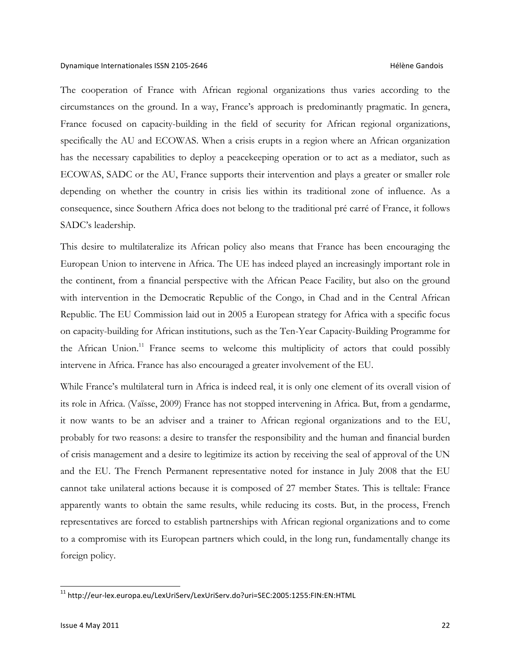The cooperation of France with African regional organizations thus varies according to the circumstances on the ground. In a way, France's approach is predominantly pragmatic. In genera, France focused on capacity-building in the field of security for African regional organizations, specifically the AU and ECOWAS. When a crisis erupts in a region where an African organization has the necessary capabilities to deploy a peacekeeping operation or to act as a mediator, such as ECOWAS, SADC or the AU, France supports their intervention and plays a greater or smaller role depending on whether the country in crisis lies within its traditional zone of influence. As a consequence, since Southern Africa does not belong to the traditional pré carré of France, it follows SADC's leadership.

This desire to multilateralize its African policy also means that France has been encouraging the European Union to intervene in Africa. The UE has indeed played an increasingly important role in the continent, from a financial perspective with the African Peace Facility, but also on the ground with intervention in the Democratic Republic of the Congo, in Chad and in the Central African Republic. The EU Commission laid out in 2005 a European strategy for Africa with a specific focus on capacity-building for African institutions, such as the Ten-Year Capacity-Building Programme for the African Union.<sup>11</sup> France seems to welcome this multiplicity of actors that could possibly intervene in Africa. France has also encouraged a greater involvement of the EU.

While France's multilateral turn in Africa is indeed real, it is only one element of its overall vision of its role in Africa. (Vaïsse, 2009) France has not stopped intervening in Africa. But, from a gendarme, it now wants to be an adviser and a trainer to African regional organizations and to the EU, probably for two reasons: a desire to transfer the responsibility and the human and financial burden of crisis management and a desire to legitimize its action by receiving the seal of approval of the UN and the EU. The French Permanent representative noted for instance in July 2008 that the EU cannot take unilateral actions because it is composed of 27 member States. This is telltale: France apparently wants to obtain the same results, while reducing its costs. But, in the process, French representatives are forced to establish partnerships with African regional organizations and to come to a compromise with its European partners which could, in the long run, fundamentally change its foreign policy.

<sup>11</sup> http://eur-lex.europa.eu/LexUriServ/LexUriServ.do?uri=SEC:2005:1255:FIN:EN:HTML